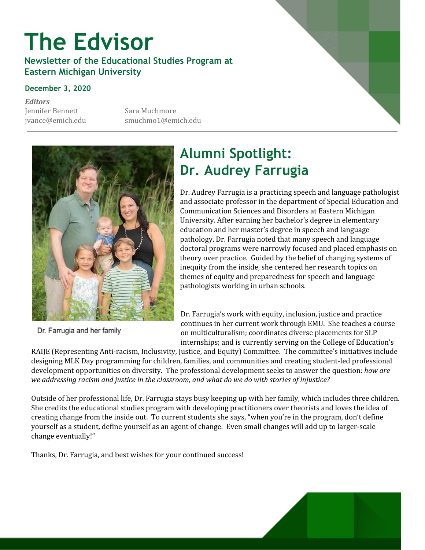# **The Edvisor**

**Newsletter of the Educational Studies Program at Eastern Michigan University**

#### **December 3, 2020**

*Editors* Jennifer Bennett Sara Muchmore

jvance@emich.edu smuchmo1@emich.edu



Dr. Farrugia and her family

## **Alumni Spotlight: Dr. Audrey Farrugia**

Dr. Audrey Farrugia is a practicing speech and language pathologist and associate professor in the department of Special Education and Communication Sciences and Disorders at Eastern Michigan University. After earning her bachelor's degree in elementary education and her master's degree in speech and language pathology, Dr. Farrugia noted that many speech and language doctoral programs were narrowly focused and placed emphasis on theory over practice. Guided by the belief of changing systems of inequity from the inside, she centered her research topics on themes of equity and preparedness for speech and language pathologists working in urban schools.

Dr. Farrugia's work with equity, inclusion, justice and practice continues in her current work through EMU. She teaches a course on multiculturalism; coordinates diverse placements for SLP internships; and is currently serving on the College of Education's

RAIJE (Representing Anti-racism, Inclusivity, Justice, and Equity) Committee. The committee's initiatives include designing MLK Day programming for children, families, and communities and creating student-led professional development opportunities on diversity. The professional development seeks to answer the question: *how are we addressing racism and justice in the classroom, and what do we do with stories of injustice?*

Outside of her professional life, Dr. Farrugia stays busy keeping up with her family, which includes three children. She credits the educational studies program with developing practitioners over theorists and loves the idea of creating change from the inside out. To current students she says, "when you're in the program, don't define yourself as a student, define yourself as an agent of change. Even small changes will add up to larger-scale change eventually!"

Thanks, Dr. Farrugia, and best wishes for your continued success!

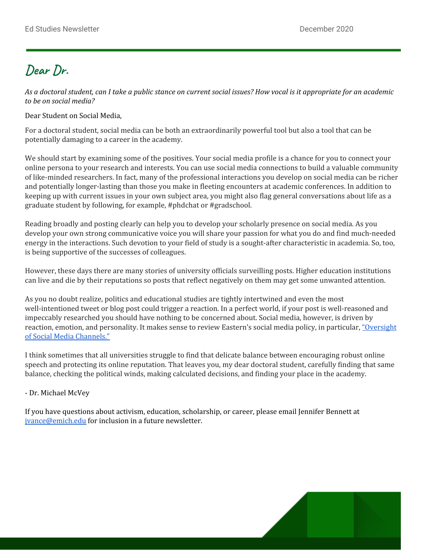## **Dear Dr.**

As a doctoral student, can I take a public stance on current social issues? How vocal is it appropriate for an academic *to be on social media?*

Dear Student on Social Media,

For a doctoral student, social media can be both an extraordinarily powerful tool but also a tool that can be potentially damaging to a career in the academy.

We should start by examining some of the positives. Your social media profile is a chance for you to connect your online persona to your research and interests. You can use social media connections to build a valuable community of like-minded researchers. In fact, many of the professional interactions you develop on social media can be richer and potentially longer-lasting than those you make in fleeting encounters at academic conferences. In addition to keeping up with current issues in your own subject area, you might also flag general conversations about life as a graduate student by following, for example, #phdchat or #gradschool.

Reading broadly and posting clearly can help you to develop your scholarly presence on social media. As you develop your own strong communicative voice you will share your passion for what you do and find much-needed energy in the interactions. Such devotion to your field of study is a sought-after characteristic in academia. So, too, is being supportive of the successes of colleagues.

However, these days there are many stories of university officials surveilling posts. Higher education institutions can live and die by their reputations so posts that reflect negatively on them may get some unwanted attention.

As you no doubt realize, politics and educational studies are tightly intertwined and even the most well-intentioned tweet or blog post could trigger a reaction. In a perfect world, if your post is well-reasoned and impeccably researched you should have nothing to be concerned about. Social media, however, is driven by reaction, emotion, and personality. It makes sense to review Eastern's social media policy, in particular, ["Oversight](https://www.emich.edu/communications/expertise/social-media/social-media-administrative-procedures.php)" of Social Media [Channels."](https://www.emich.edu/communications/expertise/social-media/social-media-administrative-procedures.php)

I think sometimes that all universities struggle to find that delicate balance between encouraging robust online speech and protecting its online reputation. That leaves you, my dear doctoral student, carefully finding that same balance, checking the political winds, making calculated decisions, and finding your place in the academy.

#### - Dr. Michael McVey

If you have questions about activism, education, scholarship, or career, please email Jennifer Bennett at [jvance@emich.edu](mailto:jvance@emich.edu) for inclusion in a future newsletter.